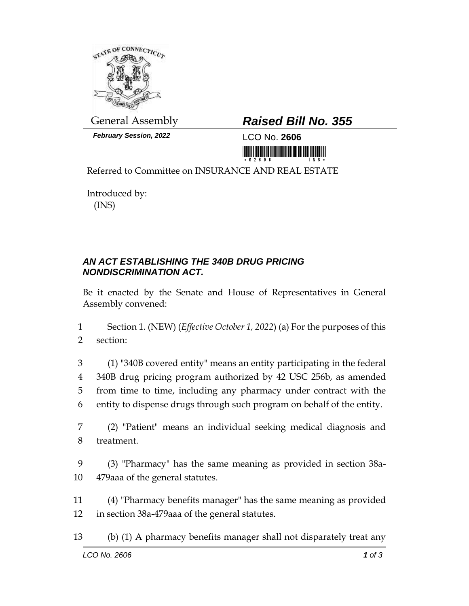

*February Session, 2022* LCO No. **2606**

## General Assembly *Raised Bill No. 355*

Referred to Committee on INSURANCE AND REAL ESTATE

Introduced by: (INS)

## *AN ACT ESTABLISHING THE 340B DRUG PRICING NONDISCRIMINATION ACT.*

Be it enacted by the Senate and House of Representatives in General Assembly convened:

1 Section 1. (NEW) (*Effective October 1, 2022*) (a) For the purposes of this 2 section:

 (1) "340B covered entity" means an entity participating in the federal 340B drug pricing program authorized by 42 USC 256b, as amended from time to time, including any pharmacy under contract with the entity to dispense drugs through such program on behalf of the entity.

7 (2) "Patient" means an individual seeking medical diagnosis and 8 treatment.

9 (3) "Pharmacy" has the same meaning as provided in section 38a-10 479aaa of the general statutes.

11 (4) "Pharmacy benefits manager" has the same meaning as provided 12 in section 38a-479aaa of the general statutes.

13 (b) (1) A pharmacy benefits manager shall not disparately treat any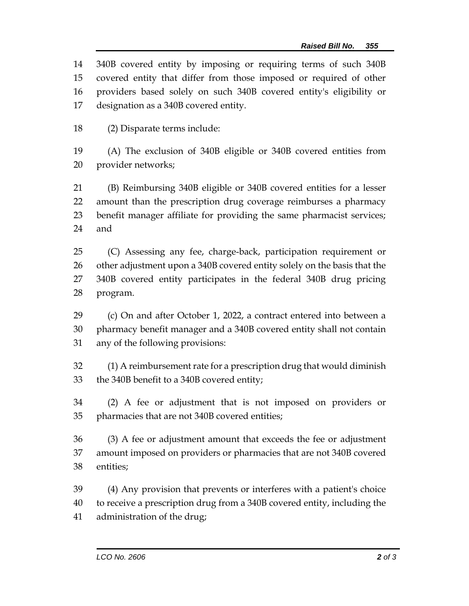340B covered entity by imposing or requiring terms of such 340B covered entity that differ from those imposed or required of other providers based solely on such 340B covered entity's eligibility or designation as a 340B covered entity.

(2) Disparate terms include:

 (A) The exclusion of 340B eligible or 340B covered entities from provider networks;

 (B) Reimbursing 340B eligible or 340B covered entities for a lesser amount than the prescription drug coverage reimburses a pharmacy benefit manager affiliate for providing the same pharmacist services; and

 (C) Assessing any fee, charge-back, participation requirement or other adjustment upon a 340B covered entity solely on the basis that the 340B covered entity participates in the federal 340B drug pricing program.

 (c) On and after October 1, 2022, a contract entered into between a pharmacy benefit manager and a 340B covered entity shall not contain any of the following provisions:

 (1) A reimbursement rate for a prescription drug that would diminish the 340B benefit to a 340B covered entity;

 (2) A fee or adjustment that is not imposed on providers or pharmacies that are not 340B covered entities;

 (3) A fee or adjustment amount that exceeds the fee or adjustment amount imposed on providers or pharmacies that are not 340B covered entities;

 (4) Any provision that prevents or interferes with a patient's choice to receive a prescription drug from a 340B covered entity, including the administration of the drug;